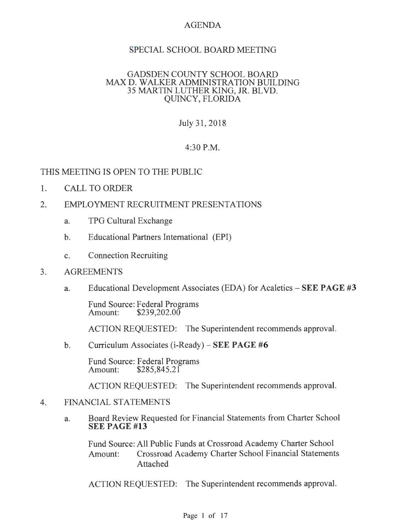# AGENDA

# SPECIAL SCHOOL BOARD MEETING

## GADSDEN COUNTY SCHOOL BOARD MAX D. WALKER ADMINISTRATION BUILDING 35 MARTIN LUTHER KING, JR. BLVD. QUINCY, FLORIDA

# July31,2018

# 4:30P.M.

# THIS MEETING IS OPEN TO THE PUBLIC

- 1. CALL TO ORDER
- 2. EMPLOYMENT RECRUITMENT PRESENTATIONS
	- a. TPG Cultural Exchange
	- b. Educational Partners International (EPI)
	- c. Connection Recruiting
- 3. AGREEMENTS
	- a. Educational Development Associates (EDA) for Acaletics **SEE PAGE #3**

Fund Source: Federal Programs<br>Amount: \$239,202.00  $$239,202.00$ 

ACTION REQUESTED: The Superintendent recommends approval.

b. Curriculum Associates (i-Ready) – **SEE PAGE #6** 

Fund Source: Federal Programs<br>Amount: \$285,845.21  $$285,845.21$ 

ACTION REQUESTED: The Superintendent recommends approval.

## 4. FINANCIAL STATEMENTS

a. Board Review Requested for Financial Statements from Charter School **SEE PAGE #13** 

Fund Source: All Public Funds at Crossroad Academy Charter School Amount: Crossroad Academy Charter School Financial Statements Attached

ACTION REQUESTED: The Superintendent recommends approval.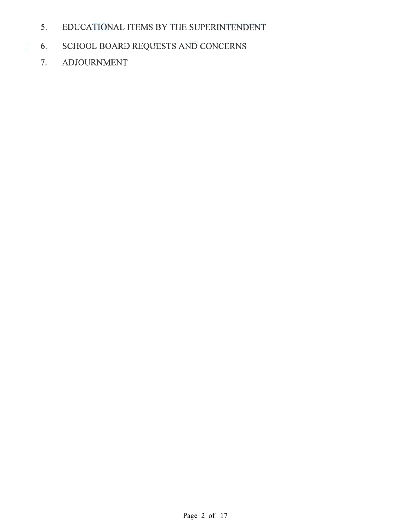- 5. EDUCATIONAL ITEMS BY THE SUPERINTENDENT
- 6. SCHOOL BOARD REQUESTS AND CONCERNS
	- 7. ADJOURNMENT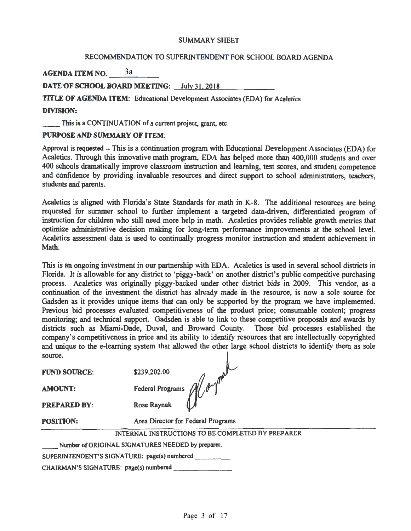#### SUMMARY SHEET

## RECOMMENDATION TO SUPERINTENDENT FOR SCHOOL BOARD AGENDA

AGENDA ITEM NO. 3a

DATE OF SCHOOL BOARD MEETING: July 31, 2018

TITLE OF AGENDA ITEM: Educational Development Associates (EDA) for Acaletics DIVISION:

\_\_ This is a CONTINUATION of a current project, grant, etc.

## PURPOSE AND SUMMARY OF ITEM:

Approval is requested -- This is a continuation program with Educational Development Associates (EDA) for Acaletics. Through this innovative math program, EDA has helped more than 400,000 students and over 400 schools dramatically improve classroom instruction and learning, test scores, and student competence and confidence by providing invaluable resources and direct support to school administrators, teachers, students and parents.

Acaletics is aligned with Florida's State Standards for math in K-8. The additional resources are being requested for summer school to further implement a targeted data-driven, differentiated program of instruction for children who still need more help in math. Acaletics provides reliable growth metrics that optimize administrative decision making for long-tenn perfonnance improvements at the school level. Acaletics assessment data is used to continually progress monitor instruction and student achievement in Math.

This is an ongoing investment in our partnership with EDA. Acaletics is used in several school districts in Florida. It is allowable for any district to 'piggy-back' on another district's public competitive purchasing process. Acaletics was originally piggy-backed under other district bids in 2009. This vendor, as a continuation of the investment the district has already made in the resource, is now a sole source for Gadsden as it provides unique items that can only be supported by the program we have implemented. Previous bid processes evaluated competitiveness of the product price; consumable content; progress monitoring; and technical support. Gadsden is able to link to these competitive proposals and awards by districts such as Miami-Dade, Duval, and Broward County. Those bid processes established the company's competitiveness in price and its ability to identify resources that are intellectually copyrighted and unique to the e-learning system that allowed the other large school districts to identify them as sole source.

FUND SOURCE:

\$239,202.00

PREPARED BY: Rose Raynak

FUND SOURCE:  $$239,202.00$ <br>AMOUNT: Federal Programs  $\mathcal{A}/\mathcal{P}$ 

POSITION: Area Director for Federal Programs

INTERNAL INSTRUCTIONS TO BE COMPLETED BY PREPARER

Number of ORIGINAL SIGNATURES NEEDED by preparer.

SUPERINTENDENT'S SIGNATURE: page(s) numbered \_ \_ \_ \_

CHAIRMAN'S SIGNATURE: page(s) numbered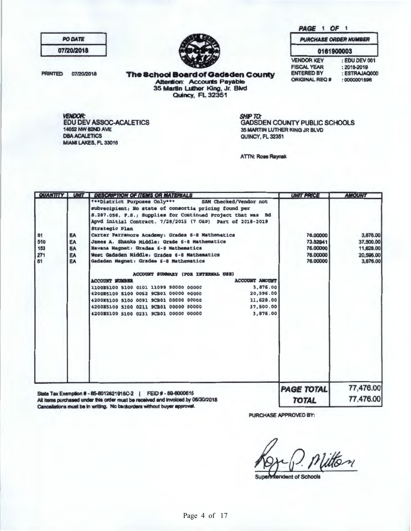PAGE 1 OF 1

| <b>PO DATE</b> |  |
|----------------|--|
| 07/20/2018     |  |

**PRINTED** 07/20/2018

The School Board of Gadsden County<br>Attention: Accounts Payable<br>35 Martin Luther King, Jr. Blvd<br>Quincy, FL 32351

VENDOR:<br>EDU DEV ASSOC-ACALETICS 14052 NW 82ND AVE **DBA ACALETICS** MIAMI LAKES, FL 33016

| <b>PURCHASE ORDER NUMBER</b> |             |  |  |  |
|------------------------------|-------------|--|--|--|
|                              | 0161900003  |  |  |  |
| <b>VENDOR KEY</b>            | : EDU DEV 0 |  |  |  |
| <b>FISCAL YEAR</b>           | : 2018-2019 |  |  |  |

**ENTERED BY ORIGINAL REQ #** 

V 001 19 : ESTRAJAQ000 : 0000001596

SHIP TO: **GADSDEN COUNTY PUBLIC SCHOOLS** 35 MARTIN LUTHER KING JR BLVD QUINCY, FL 32351

**ATTN: Rose Raynak** 

| QUANTITY                      | <b>UNIT</b>                       | <b>DESCRIPTION OF ITEMS OR MATERIALS</b>                                                                                                                                                                                                                                                                                                                                                                                                                                                                     | <b>UNIT PRICE</b>                                        | <b>AMOUNT</b>                                               |
|-------------------------------|-----------------------------------|--------------------------------------------------------------------------------------------------------------------------------------------------------------------------------------------------------------------------------------------------------------------------------------------------------------------------------------------------------------------------------------------------------------------------------------------------------------------------------------------------------------|----------------------------------------------------------|-------------------------------------------------------------|
| 51<br>510<br>153<br>271<br>51 | EA<br><b>EA</b><br>EA<br>EA<br>EA | SAM Checked/Vendor not<br>***District Purposes Only***<br>subrecipient; No state of consortia pricing found per<br>8.287.056, F.S.; Supplies for Continued Project that was Bd<br>Apvd initial Contract. 7/28/2015 (7 O&P) Part of 2018-2019<br><b>Strategic Plan</b><br>Carter Parramore Academy: Grades 6-8 Mathematics<br>James A. Shanks Middle: Grade 6-8 Mathematics<br>Havana Magnet: Grades 6-8 Mathematics<br>West Gadsden Middle: Grades 6-8 Mathematics<br>Gadsden Magnet: Grades 6-8 Nathematics | 76,00000<br>73.52941<br>76,00000<br>76,00000<br>76,00000 | 3,876.00<br>37,500.00<br>11,628.00<br>20.596.00<br>3,876.00 |
|                               |                                   | ACCOUNT SUMMARY (FOR INTERNAL USE)<br><b>ACCOUNT AMOUNT</b><br><b>ACCOUNT NUMBER</b><br>3.876.00<br>1100E5100 5100 0101 11099 90000 00000<br>20,596.00<br>4200E5100 5100 0052 9CB01 00000 00000<br>11,628.00<br>4200E5100 5100 0091 9CB01 00000 00000<br>4200E5100 5100 0211 9CB01 00000 00000<br>37,500.00<br>3,876.00<br>4200E5100 5100 0231 9CB01 00000 00000                                                                                                                                             |                                                          |                                                             |
|                               |                                   | State Tax Exemption # - 85-8012621915C-2   FEID # - 59-8000615<br>All items purchased under this order must be received and invoiced by 06/30/2018                                                                                                                                                                                                                                                                                                                                                           | <b>PAGE TOTAL</b><br><b>TOTAL</b>                        | 77,476.00<br>77,476.00                                      |

Cancellations must be in writing. No backorders without buyer approval.

1 PURCHASE APPROVED BY:

Vitton

**Superintendent of Schools** 

Page 4 of 17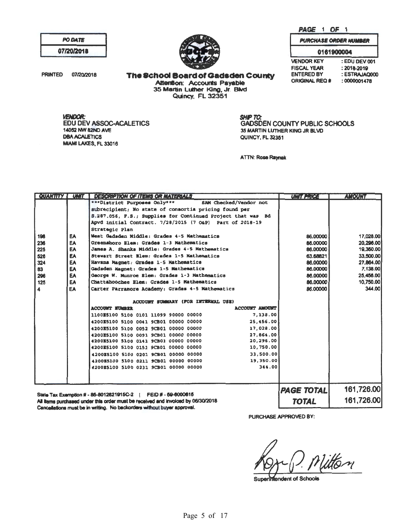PAGE 1 OF 1

**VENDOR KEY** 

**FISCAL YEAR** 

**ENTERED BY** 

**ORIGINAL REQ #** 

**PURCHASE ORDER NUMBER** 0161900004

: EDU DEV 001

: ESTRAJAQ000

 $: 2018 - 2019$ 

 $:0000001478$ 

| PO DATE    |  |
|------------|--|
| 07/20/2018 |  |

**PRINTED** 07/20/2018

**The School Board of Gadsden County** Attention: Accounts Payable 35 Martin Luther King, Jr. Blvd<br>Quincy, FL 32351

**VENDOR: EDU DEV ASSOC-ACALETICS** 14052 NW 82ND AVE **DBA ACALETICS** MIAMI LAKES, FL 33016

**SHIP TO:** GADSDEN COUNTY PUBLIC SCHOOLS 35 MARTIN LUTHER KING JR BLVD QUINCY, FL 32351

**ATTN: Rose Raynak** 

| <b>CUANTITY</b> | <b>UNIT</b> | <b>DESCRIPTION OF ITEMS OR MATERIALS</b>                                         | <b>UNIT PRICE</b> | <b>AMOUNT</b> |
|-----------------|-------------|----------------------------------------------------------------------------------|-------------------|---------------|
|                 |             | ***District Purposes Only***<br>SAM Checked/Vendor not                           |                   |               |
|                 |             | subrecipient; No state of consortia pricing found per                            |                   |               |
|                 |             | S.287.056, F.S.; Supplies for Continued Project that was Bd                      |                   |               |
|                 |             | Apvd initial Contract. 7/28/2015 (7 O&P) Part of 2018-19                         |                   |               |
|                 |             | Strategic Plan                                                                   |                   |               |
| 196             | <b>EA</b>   | West Gadsden Middle: Grades 4-5 Mathematics                                      | 86,00000          | 17,028.00     |
| 236             | <b>EA</b>   | Greensboro Blam: Grades 1-3 Nathematics                                          | 86,00000          | 20.296.00     |
| 225             | EA          | James A. Shanks Middle: Grades 4-5 Mathematics                                   | 86,00000          | 19,350.00     |
| 526             | EA          | Stewart Street Elem: Grades 1-5 Nathematics                                      | 63.68821          | 33,500.00     |
| 324             | <b>EA</b>   | Havana Magnet: Grades 1-5 Mathematics                                            | 86,00000          | 27,864,00     |
| 83              | <b>EA</b>   | Gadsden Magnet: Grades 1-5 Mathematics                                           | 86.00000          | 7,138.00      |
| 296             | <b>EA</b>   | George W. Munroe Elem: Grades 1-3 Mathematics                                    | 86.00000          | 25,456.00     |
| 125             | <b>EA</b>   | Chattahoochee Elem: Grades 1-5 Mathematics                                       | 86,00000          | 10,750.00     |
| I 4.            | EA          | Carter Parramore Academy: Grades 4-5 Mathematics                                 | 86,00000          | 344.00        |
|                 |             |                                                                                  |                   |               |
|                 |             | ACCOUNT SUMMARY (FOR INTERNAL USE)                                               |                   |               |
|                 |             | <b>ACCOUNT NUMBER</b><br><b>ACCOUNT AMOUNT</b>                                   |                   |               |
|                 |             | 7,138.00<br>1100E5100 5100 0101 11099 90000 00000                                |                   |               |
|                 |             | 25,456.00<br>4200E5100 5100 0041 9CB01 00000 00000                               |                   |               |
|                 |             | 17,028.00<br>4200E5100 5100 0052 9CB01 00000 00000                               |                   |               |
|                 |             | 27.864.00<br>4200E5100 5100 0091 9CB01 00000 00000                               |                   |               |
|                 |             | 20,296.00<br>4200E5100 5100 0141 9CB01 00000 00000                               |                   |               |
|                 |             | 10,750.00<br>4200E5100 5100 0151 9CB01 00000 00000                               |                   |               |
|                 |             | 33,500.00<br>4200E5100 5100 0201 9CB01 00000 00000                               |                   |               |
|                 |             | 19,350.00<br>4200E5100 5100 0211 9CB01 00000 00000                               |                   |               |
|                 |             | 344.00<br>4200E5100 5100 0231 9CB01 00000 00000                                  |                   |               |
|                 |             |                                                                                  |                   |               |
|                 |             |                                                                                  |                   |               |
|                 |             |                                                                                  | <b>PAGE TOTAL</b> | 161,726.00    |
|                 |             | State Tax Exemption # - 85-8012621915C-2   FEID # - 59-6000615                   |                   |               |
|                 |             | All items purchased under this order must be received and invoiced by 06/30/2018 | <b>TOTAL</b>      | 161,726,00    |

Cancellations must be in writing. No backorders without buyer approval.

PURCHASE APPROVED BY:

Vitton

Superimendent of Schools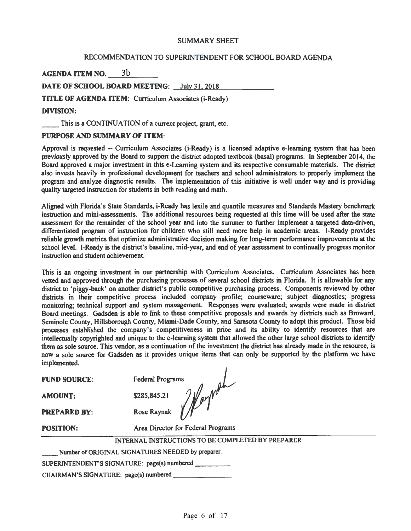#### SUMMARY SHEET

## RECOMMENDATION TO SUPERINTENDENT FOR SCHOOL BOARD AGENDA

agenda item no. <u>\_\_\_\_\_\_\_\_\_\_\_\_\_\_\_\_</u>

DATE OF SCHOOL BOARD MEETING: July 31, 2018

TITLE OF AGENDA ITEM: Curriculum Associates (i-Ready)

## DIVISION:

This is a CONTINUATION of a current project, grant, etc.

#### PURPOSE AND SUMMARY OF ITEM:

Approval is requested -- Curriculum Associates (i-Ready) is a licensed adaptive e-leaming system that has been previously approved by the Board to support the district adopted textbook (basal) programs. In September 2014, the Board approved a major investment in this e-Leaming system and its respective consumable materials. The district also invests heavily in professional development for teachers and school administrators to properly implement the program and analyze diagnostic results. The implementation of this initiative is well under way and is providing quality targeted instruction for students in both reading and math.

Aligned with Florida's State Standards, i-Ready has lexile and quantile measures and Standards Mastery benchmark instruction and mini-assessments. The additional resources being requested at this time will be used after the state assessment for the remainder of the school year and into the summer to further implement a targeted data-driven, differentiated program of instruction for children who still need more help in academic areas. 1-Ready provides reliable growth metrics that optimize administrative decision making for long-term performance improvements at the school level. 1-Ready is the district's baseline, mid-year, and end of year assessment to continually progress monitor instruction and student achievement.

This is an ongoing investment in our partnership with Curriculum Associates. Curriculum Associates has been vetted and approved through the purchasing processes of several school districts in Florida. It is allowable for any district to 'piggy-back' on another district's public competitive purchasing process. Components reviewed by other districts in their competitive process included company profile; courseware; subject diagnostics; progress monitoring; technical support and system management. Responses were evaluated; awards were made in district Board meetings. Gadsden is able to link to these competitive proposals and awards by districts such as Broward, Seminole County, Hillsborough County, Miami-Dade County, and Sarasota County to adopt this product. Those bid processes established the company's competitiveness in price and its ability to identify resources that are intellectually copyrighted and unique to the e-leaming system that allowed the other large school districts to identify them as sole source. This vendor, as a continuation of the investment the district has already made in the resource, is now a sole source for Gadsden as it provides unique items that can only be supported by the platform we have implemented.

AMOUNT:

PREPARED BY:

**FUND SOURCE:** Federal Programs \$285,845.21 *) | pr<sup>ns</sup>*<br>Rose Raynak *| | pr*<sup>ns</sup>

POSITION: Area Director for Federal Programs

INTERNAL INSTRUCTIONS TO BE COMPLETED BY PREPARER

Number of ORIGINAL SIGNATURES NEEDED by preparer.

SUPERINTENDENT'S SIGNATURE: page(s) numbered \_\_\_\_\_\_\_\_\_

CHAIRMAN'S SIGNATURE: page(s) numbered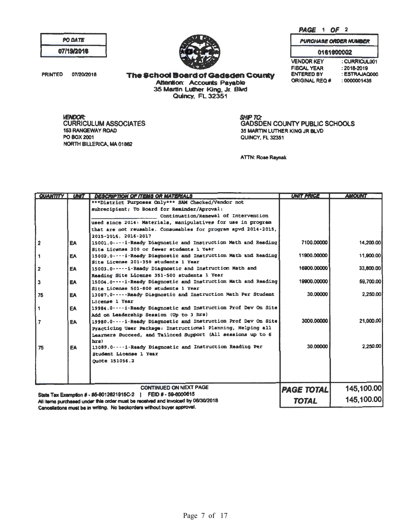PAGE 1 OF 2

**PURCHASE ORDER NUMBER** 

| <b>PO DATE</b> |  |
|----------------|--|
| 07/19/2018     |  |

**PRINTED** 07/20/2018

0161900002 **VENDOR KEY FISCAL YEAR** ENTERED BY **ORIGINAL REQ#** 

: CURRICUL001  $: 2018 - 2019$ : ESTRAJAQ000 : 0000001435

**The School Board of Gadsden County** Attention: Accounts Payable<br>35 Martin Luther King, Jr. Blvd<br>Quincy, FL 32351

**VENDOR: CURRICULUM ASSOCIATES** 153 RANGEWAY ROAD PO BOX 2001 NORTH BILLERICA, MA 01862

SHIP TO:<br>GADSDEN COUNTY PUBLIC SCHOOLS 35 MARTIN LUTHER KING JR BLVD QUINCY, FL 32351

**ATTN: Rose Raynak** 

| <b>QUANTITY</b> | <b>UNIT</b> | <b>DESCRIPTION OF ITEMS OR MATERIALS</b>                                                                                                                    | <b>UNIT PRICE</b> | <b>AMOUNT</b> |
|-----------------|-------------|-------------------------------------------------------------------------------------------------------------------------------------------------------------|-------------------|---------------|
|                 |             | ***District Purposes Only*** SAM Checked/Vendor not                                                                                                         |                   |               |
|                 |             | subrecipient; To Board for Reminder/Aproval:                                                                                                                |                   |               |
|                 |             | Continuation/Renewal of Intervention                                                                                                                        |                   |               |
|                 |             | used since 2014: Materials, manipulatives for use in program                                                                                                |                   |               |
|                 |             | that are not reusable. Consumables for program apvd 2014-2015,                                                                                              |                   |               |
|                 |             | 2015-2016. 2016-2017                                                                                                                                        |                   |               |
| $\overline{2}$  | EA          | 15001.0----i-Ready Diagnostic and Instruction Math and Reading                                                                                              | 7100.00000        | 14,200.00     |
|                 |             | Site License 200 or fewer students 1 Year                                                                                                                   |                   |               |
| 1               | <b>EA</b>   | 15002.0----i-Ready Diagnostic and Instruction Math and Reading                                                                                              | 11900.00000       | 11,900.00     |
|                 |             | Site License 201-350 students 1 Year                                                                                                                        |                   |               |
| $\overline{2}$  | EA          | 15003.0------i-Ready Diagnostic and Instruction Math and                                                                                                    | 16900.00000       | 33,800.00     |
|                 |             | Reading Site License 351-500 students 1 Year                                                                                                                |                   |               |
| $\mathbf{3}$    | EA          | 15004.0 ---- i-Ready Diagnostic and Instruction Math and Reading                                                                                            | 19900.00000       | 59,700.00     |
|                 |             | Site License 501-800 students 1 Year                                                                                                                        |                   |               |
| 75              | EA          | 13087.0 ----- Ready Diagnostic and Instruction Math Per Student                                                                                             | 30.00000          | 2.250.00      |
|                 |             | License 1 Year                                                                                                                                              |                   |               |
| 1               | <b>EA</b>   | 19984.0----i-Ready Diagnostic and Instruction Prof Dev On Site                                                                                              |                   |               |
|                 |             | Add on Leadership Session (Up to 3 hrs)                                                                                                                     |                   |               |
| $\overline{z}$  | <b>EA</b>   | 19980.0---- i-Ready Diagnostic and Instruction Prof Dev On Site                                                                                             | 3000.00000        | 21,000.00     |
|                 |             | Practicing User Package: Instructional Planning, Helping all                                                                                                |                   |               |
|                 |             | Learners Succeed, and Tailored Support (All sessions up to 6                                                                                                |                   |               |
|                 |             | hrs)                                                                                                                                                        | 30.00000          | 2.250.00      |
| 75              | EA          | 13089.0----i-Ready Diagnostic and Instruction Reading Per                                                                                                   |                   |               |
|                 |             | Student License 1 Year                                                                                                                                      |                   |               |
|                 |             | Ouote 151056.2                                                                                                                                              |                   |               |
|                 |             |                                                                                                                                                             |                   |               |
|                 |             |                                                                                                                                                             |                   |               |
|                 |             | <b>CONTINUED ON NEXT PAGE</b>                                                                                                                               |                   |               |
|                 |             |                                                                                                                                                             | <b>PAGE TOTAL</b> | 145,100.00    |
|                 |             | State Tax Exemption # - 85-8012621915C-2   FEID # - 59-6000615                                                                                              | <b>TOTAL</b>      | 145,100.00    |
|                 |             | All items purchased under this order must be received and invoiced by 06/30/2018<br>Cancellations must be in writing. No backorders without buyer approval. |                   |               |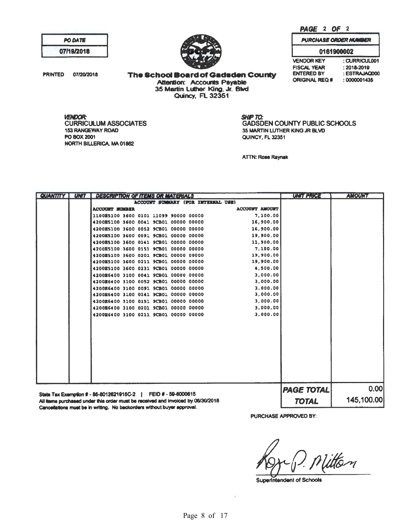PAGE 2 OF 2

**VENDOR KEY** FISCAL YEAR ENTERED BY ORIGINAL REQ #I

**PURCHASE ORDER NUMBER** 0161900002

> : CURRICUL001 :2018-2019

: ESTRAJACIOOO : 0000001435

| <b>PO DATE</b> |  |
|----------------|--|
| 07/19/2018     |  |

PRINTED 07/20/2018 The School Board of Gadsden County Attention: Accounts Payable 35 Martin Luther King, Jr. Blvd Quincy, FL 32351

**VENDOR:<br>CURRICULUM ASSOCIATES** 153 RANGEWAY ROAD POBOX2001 NORTH BILLERICA. MA 01862

**SHIP TO:** GADSDEN COUNTY PUBLIC SCHOOLS 35 MARTIN LUTHER KING JR BLVD QUINCY, FL 32351

ATTN: Rose Raynak

| <b>QUANTITY</b> | <b>UNIT</b> | <b>DESCRIPTION OF ITEMS OR MATERIALS</b>                                         | UNIT PRICE        | <b>AMOUNT</b> |
|-----------------|-------------|----------------------------------------------------------------------------------|-------------------|---------------|
|                 |             | ACCOUNT SUMMARY (FOR INTERNAL USE)                                               |                   |               |
|                 |             | <b>ACCOUNT AMOUNT</b><br><b>ACCOUNT MUDER</b>                                    |                   |               |
|                 |             | 7,100.00<br>1100B5100 3600 0101 11099 90000 00000                                |                   |               |
|                 |             | 4200B5100 3600 0041 9CB01 00000 00000<br>16,900.00                               |                   |               |
|                 |             | 16,900.00<br>4200E5100 3600 0052 9CB01 00000 00000                               |                   |               |
|                 |             | 4200E5100 3600 0091 9CB01 00000 00000<br>19,900.00                               |                   |               |
|                 |             | 4200B5100 3600 0141 9CB01 00000 00000<br>11,900.00                               |                   |               |
|                 |             | 7,100.00<br>4200E5100 3600 0151 9CB01 00000 00000                                |                   |               |
|                 |             | 19,900.00<br>4200E5100 3600 0201 9CB01 00000 00000                               |                   |               |
|                 |             | 19,900.00<br>4200E5100 3600 0211 9CB01 00000 00000                               |                   |               |
|                 |             | 4200E5100 3600 0231 9CB01 00000 00000<br>4,500.00                                |                   |               |
|                 |             | 3,000.00<br>4200E6400 3100 0041 9CB01 00000 00000                                |                   |               |
|                 |             | 4200E6400 3100 0052 9CB01 00000 00000<br>3,000.00                                |                   |               |
|                 |             | 3.000.00<br>4200E6400 3100 0091 9CB01 00000 00000                                |                   |               |
|                 |             | 3,000.00<br>4200E6400 3100 0141 9CB01 00000 00000                                |                   |               |
|                 |             | 3,000.00<br>4200E6400 3100 0151 9CB01 00000 00000                                |                   |               |
|                 |             | 3,000.00<br>4200B6400 3100 0201 9CB01 00000 00000                                |                   |               |
|                 |             | 3.000.00<br>4200E6400 3100 0211 9CB01 00000 00000                                |                   |               |
|                 |             |                                                                                  |                   |               |
|                 |             |                                                                                  |                   |               |
|                 |             |                                                                                  |                   |               |
|                 |             |                                                                                  |                   |               |
|                 |             |                                                                                  |                   |               |
|                 |             |                                                                                  |                   |               |
|                 |             |                                                                                  |                   |               |
|                 |             |                                                                                  |                   |               |
|                 |             |                                                                                  |                   |               |
|                 |             |                                                                                  | <b>PAGE TOTAL</b> | 0.00          |
|                 |             | State Tax Exemption # - 85-8012621915C-2   FEID # - 59-6000615                   |                   |               |
|                 |             | All items purchased under this order must be received and invoiced by 06/30/2018 | <b>TOTAL</b>      | 145,100.00    |

Cancellations must be in writing. No beckorders without buyer approval.

J. PURCHASE APPROVED BY:

Nitten

Superintendent of Schools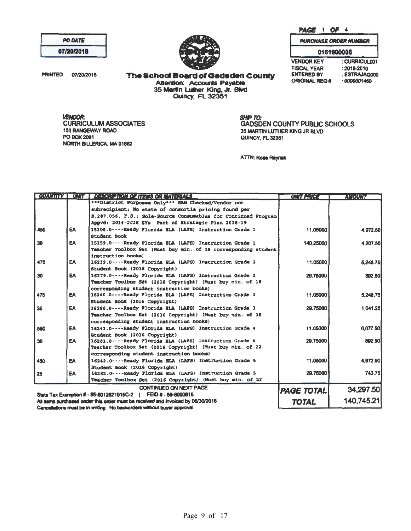: ESTRAJAQ000 **ORIGINAL REQ #**  $: 0000001450$ 

**SHIP TO: GADSDEN COUNTY PUBLIC SCHOOLS** 35 MARTIN LUTHER KING JR BLVD QUINCY, FL 32351

UNITERICA

**ANGUNI** 

**ATTN: Rose Raynak** 

|     |           | <b>CONTINUED ON NEXT PAGE</b><br>State Tax Exemption # - 85-8012621915C-2   FEID # - 59-6000615<br>All items purchased under this order must be received and invoiced by 06/30/2018                                                       | <b>PAGE TOTAL</b><br><b>TOTAL</b> | 34,297.50<br>140,745.21 |
|-----|-----------|-------------------------------------------------------------------------------------------------------------------------------------------------------------------------------------------------------------------------------------------|-----------------------------------|-------------------------|
|     |           | Teacher Toolbox Set (2016 Copyright) (Must buy Win. of 22                                                                                                                                                                                 |                                   |                         |
| 25  | EA        | Student Book (2016 Copyright)<br>16282.0----Ready Florida ELA (LAFS) Instruction Grade 5                                                                                                                                                  | 29.75000                          | 743.75                  |
| 450 | <b>EA</b> | 16242.0----Ready Florida ELA (LAFS) Instruction Grade 5                                                                                                                                                                                   | 11.05000                          | 4.972.50                |
|     |           | Teacher Toolbox Set (2016 Copyright) (Must buy min. of 22<br>corresponding student instruction books)                                                                                                                                     |                                   |                         |
| 30  | <b>EA</b> | Student Book (2016 Copyright)<br>16281.0---- Ready Florida ELA (LAFS) Instruction Grade 4                                                                                                                                                 | 29.75000                          | 892.50                  |
| 550 | <b>EA</b> | corresponding student instruction books)<br>16241.0----Ready Florida ELA (LAPS) Instruction Grade 4                                                                                                                                       | 11.05000                          | 6.077.50                |
| 35  | <b>EA</b> | 16280.0----Ready Florida BLA (LAFS) Instruction Grade 3<br>Teacher Toolbox Set (2016 Copyright) (Must buy min. of 18                                                                                                                      | 29.75000                          | 1.041.25                |
| 475 | <b>EA</b> | corresponding student instruction books)<br>16240.0----Ready Florida BLA (LAFS) Instruction Grade 3<br>Student Book (2016 Copyright)                                                                                                      | 11.05000                          | 5.248.75                |
| 30  | EA        | 16279.0----Ready Florida ELA (LAFS) Instruction Grade 2<br>Teacher Toolbox Set (2016 Copyright) (Must buy min. of 18                                                                                                                      | 29.75000                          | 892.50                  |
| 475 | EA        | Teacher Toolbox Set (Must buy min. of 18 corresponding student<br>instruction books)<br>16239.0----Ready Florida ELA (LAFS) Instruction Grade 2<br>Student Book (2016 Copyright)                                                          | 11.05000                          | 5.248.75                |
| 30  | <b>EA</b> | <b>Student Book</b><br>15159.0----Ready Florida BLA (LAFS) Instruction Grade 1                                                                                                                                                            | 140.25000                         | 4.207.50                |
| 450 | EA.       | subrecipient; No state of consortia pricing found per<br>S.287.056, F.S.; Sole-Source Consumables for Continued Program<br>Appvd: 2014-2018 SYs Part of Strategic Plan 2018-19<br>15308.0----Ready Florida ELA (LAFS) Instruction Grade 1 | 11.05000                          | 4.972.50                |
|     |           |                                                                                                                                                                                                                                           |                                   |                         |

Page 9 of 17

#### The School Board of Gadsden County **Attention: Accounts Payable** 35 Martin Luther King, Jr. Blvd **Quincy, FL 32351**

**VENDOR: CURRICULUM ASSOCIATES 153 RANGEWAY ROAD** PO BOX 2001 NORTH BILLERICA, MA 01862

**QUANTITY | UNIT | CERCRIZION OF THE IS OR MATERIALS** 

Cancellations must be in writing. No backorders without buyer approval.

\*\*\*District Purposes Only\*\*\* SAM Checked/Vendor not

# **PO DATE** 07/20/2018

PRINTED 07/20/2018

PAGE 1 OF 4

**PURCHASE ORDER NUMBER** 0161900005 : CURRICULO01

**VENDOR KEY** FISCAL YEAR<br>ENTERED BY  $: 2018 - 2019$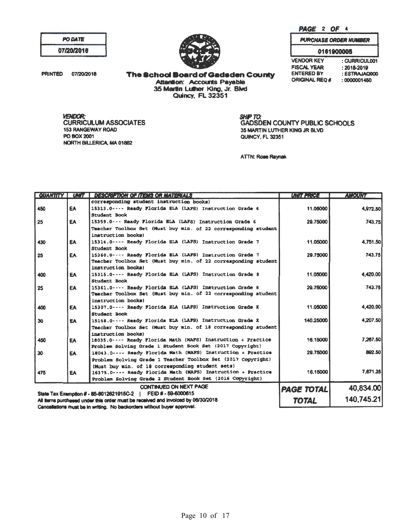**TOTAL** 

|     |           | QUANTITY   UNIT   DESCRIPTION OF ITEMS OR MATERIALS                                                                                                                           | <b>UNITERRES</b>  | <i><b>AMOUNT</b></i> |
|-----|-----------|-------------------------------------------------------------------------------------------------------------------------------------------------------------------------------|-------------------|----------------------|
|     |           | corresponding student instruction books)                                                                                                                                      |                   |                      |
| 450 | <b>EA</b> | 15313.0- Ready Florida ELA (LAFS) Instruction Grade 6<br>Student Book                                                                                                         | 11.05000          | 4.972.50             |
| 25  | EA        | 15359.0--- Ready Florida ELA (LAFS) Instruction Grade 6                                                                                                                       | 29.75000          | 743.75               |
|     |           | Teacher Toolbox Set (Must buy min. of 22 corresponding student)<br>instruction books)                                                                                         |                   |                      |
| 430 | EA        | 15314.0---- Ready Florida BLA (LAPS) Instruction Grade 7<br>Student Book                                                                                                      | 11.05000          | 4.751.50             |
| 25  | <b>EA</b> | 15360.0---- Ready Florida BLA (LAFS) Instruction Grade 7<br>Teacher Toolbox Set (Must buy min. of 22 corresponding student<br>instruction books)                              | 29.75000          | 743.75               |
| 400 | EA        | 15315.0---- Ready Plorida BLA (LAPS) Instruction Grade 8<br>Student Book                                                                                                      | 11.05000          | 4.420.00             |
| 25  | EA        | 15361.0---- Ready Plorida BLA (LAFS) Instruction Grade 8<br>Teacher Toolbox Set (Must buy min. of 22 corresponding student)<br>instruction books)                             | 29.75000          | 743.75               |
| 400 | EA        | 15307.0 ---- Ready Plorida BLA (LAPS) Instruction Grade K<br><b>Student Book</b>                                                                                              | 11.05000          | 4.420.00             |
| 30  | <b>EA</b> | 15158.0---- Ready Florida BLA (LAFS) Instruction Grade K<br>Teacher Toolbox Set (Must buy min. of 18 corresponding student)<br>instruction books)                             | 140.25000         | 4.207.50             |
| 450 | EA        | 18035.0---- Ready Florida Math (MAFS) Instruction + Practice<br>Problem Solving Grade 1 Student Book Set (2017 Copyright)                                                     | 16.15000          | 7.267.50             |
| 30  | <b>EA</b> | 18043.0---- Ready Florida Math (NAFS) Instruction + Practice<br>Problem Solving Grade 1 Teacher Toolbox Set (2017 Copyright)                                                  | 29.75000          | 892.50               |
| 475 | EA        | (Must buy min. of 18 corresponding student sets)<br>16375.0---- Ready Florida Math (MAFS) Instruction + Practice<br>Problem Solving Grade 2 Student Book Set (2016 Copyright) | 16.15000          | 7.671.26             |
|     |           | <b>CONTINUED ON NEXT PAGE</b>                                                                                                                                                 | <b>PAGE TOTAL</b> | 40,834.00            |
|     |           | State Tax Exemption # - 85-8012621915C-2   FEID # - 59-6000615                                                                                                                |                   |                      |
|     |           | All thems curchased under this order must be received and involced by 06/30/2018                                                                                              | <b>TOTAL</b>      | 140,745.21           |

**VENDOR: CURRICULUM ASSOCIATES 153 RANGEWAY ROAD** PO BOX 2001 NORTH BILLERICA, MA 01882

All items purchased under this order must be received and involced by 06/30/2018

Cancellations must be in writing. No backorders without buyer approval.

**Quincy, FL 32351** 

| 257 | <b>AF</b> |  |  |
|-----|-----------|--|--|
|     |           |  |  |

0161900005 : 2018-2019

**PURCHASE ORDER NUMBER** 

The School Board of Gadsden County **Attention: Accounts Payable** 35 Martin Luther King, Jr. Blvd

SHIP TO:

QUINCY, FL 32351

ATTN: Rose Raynak

**VENDOR KEY FISCAL YEAR ENTERED BY ORIGINAL REQ#** 

**GADSDEN COUNTY PUBLIC SCHOOLS** 

35 MARTIN LUTHER KING JR BLVD

: CURRICUL001 : ESTRAJAQ000 : 0000001450

Page 10 of 17

PRINTED 07/20/2018

PO DATE

07/20/2018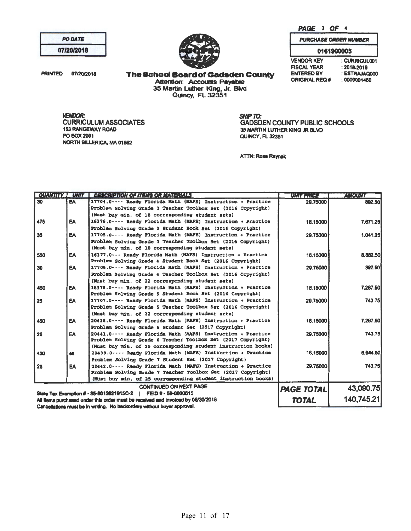|                   | <b>PURCHASE ORDER NUMBER</b> |  |
|-------------------|------------------------------|--|
| 0161900005        |                              |  |
| <b>VENDOR KEY</b> | : CURRICUL001                |  |

 $: 2018 - 2019$ 

: 0000001450

: ESTRAJAQ000

PAGE 3 OF 4

The School Board of Gadsden County

Attention: Accounts Payable<br>35 Martin Luther King, Jr. Blvd<br>Quincy, FL 32351

**VENDOR: CURRICULUM ASSOCIATES 153 RANGEWAY ROAD** PO BOX 2001 NORTH BILLERICA, MA 01862

PO DATE

07/20/2018

07/20/2018

**PRINTED** 

SHIP TO: **GADSDEN COUNTY PUBLIC SCHOOLS** 35 MARTIN LUTHER KING JR BLVD QUINCY, FL 32351

**FISCAL YEAR** 

**ENTERED BY** 

**ORIGINAL REQ #** 

**ATTN: Rose Raynak** 

|                                                                                  |           | <b>QUANTITY   UNIT   DESCRIPTION OF ITEMS OR MATERIALS</b>                                                                   | UKIT ERKES <b>den</b> | <b>AMOUNT</b> |
|----------------------------------------------------------------------------------|-----------|------------------------------------------------------------------------------------------------------------------------------|-----------------------|---------------|
| 30                                                                               | EA        | 17704.0---- Ready Florida Math (MAFS) Instruction + Practice                                                                 | 29.75000              | 882.50        |
|                                                                                  |           | Problem Solving Grade 2 Teacher Toolbox Set (2016 Copyright)                                                                 |                       |               |
|                                                                                  |           | (Must buy min. of 18 corresponding student sets)                                                                             |                       |               |
| 475                                                                              | <b>EA</b> | 16376.0---- Ready Florida Math (MAFS) Instruction + Practice                                                                 | 16,15000              | 7.671.25      |
|                                                                                  |           | Problem Solving Grade 3 Student Book Set (2016 Copyright)                                                                    |                       |               |
| 35                                                                               | <b>EA</b> | 17705.0---- Ready Florida Math (MAFS) Instruction + Practice                                                                 | 29.75000              | 1.041.25      |
|                                                                                  |           | Problem Solving Grade 3 Teacher Toolbox Set (2016 Copyright)                                                                 |                       |               |
|                                                                                  |           | (Must buy min. of 18 corresponding student sets)                                                                             |                       |               |
| 550                                                                              | EA        | 16377.0--- Ready Florida Nath (NAFS) Instruction + Practice                                                                  | 16.15000              | 8.882.50      |
|                                                                                  |           | Problem Solving Grade 4 Student Book Set (2016 Copyright)                                                                    |                       |               |
| 30                                                                               | EA        | 17706.0---- Ready Florida Math (MAFS) Instruction + Practice                                                                 | 29.75000              | 892.50        |
|                                                                                  |           | Problem Solving Grade 4 Teacher Toolbox Set (2016 Copyright)                                                                 |                       |               |
|                                                                                  |           | (Must buy min. of 22 corresponding student sets)                                                                             |                       |               |
| 450                                                                              | <b>EA</b> | 16378.0---- Ready Florida Math (MAFS) Instruction + Practice                                                                 | 16.15000              | 7.267.50      |
|                                                                                  |           | Problem Solving Grade 5 Student Book Set (2016 Copyright)                                                                    |                       |               |
| 25                                                                               | <b>EA</b> | 17707.0---- Ready Florida Math (MAFS) Instruction + Practice                                                                 | 29.75000              | 743.75        |
| Problem Solving Grade 5 Teacher Toolbox Set (2016 Copyright)                     |           |                                                                                                                              |                       |               |
|                                                                                  |           | (Must buy min. of 22 corresponding student sets)                                                                             |                       |               |
| 450                                                                              | EA        | 20438.0---- Ready Florida Math (MAFS) Instruction + Practice                                                                 | 16.15000              | 7.267.50      |
|                                                                                  |           | Problem Solving Grade 6 Student Set (2017 Copyright)                                                                         |                       |               |
| 25                                                                               | EA        | 20441.0---- Ready Plorida Math (MAFS) Instruction + Practice                                                                 | 29.75000              | 743.75        |
|                                                                                  |           | Problem Solving Grade 6 Teacher Toolbox Set (2017 Copyright)                                                                 |                       |               |
|                                                                                  |           | (Must buy min. of 25 corresponding student instruction books)                                                                |                       |               |
| 430                                                                              | <b>GG</b> | 20439.0---- Ready Florida Math (MAFS) Instruction + Practice                                                                 | 16.15000              | 6,944.50      |
|                                                                                  |           | Problem Solving Grade 7 Student Set (2017 Copyright)                                                                         |                       |               |
| 25                                                                               | EA        | 20442.0---- Ready Florida Math (MAFS) Instruction + Practice<br>Problem Solving Grade 7 Teacher Toolbox Set (2017 Copyright) | 29.75000              | 743.75        |
|                                                                                  |           |                                                                                                                              |                       |               |
| (Must buy min, of 25 corresponding student instruction books)                    |           |                                                                                                                              |                       |               |
|                                                                                  |           | <b>CONTINUED ON NEXT PAGE</b>                                                                                                | <b>PAGE TOTAL</b>     | 43,090.75     |
| State Tax Exemption # - 85-8012621915C-2   FEID # - 59-6000615                   |           |                                                                                                                              |                       |               |
| All Items purchased under this order must be received and invoiced by 06/30/2018 |           | <b>TOTAL</b>                                                                                                                 | 140,745.21            |               |

Cancellations must be in writing. No backorders without buyer approval.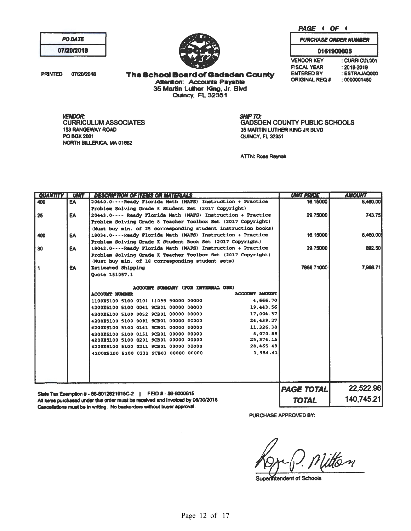PAGE 4 OF 4

**VENDOR KEY** 

**FISCAL YEAR** 

**ENTERED BY** 

**ORIGINAL REQ #** 

**PURCHASE ORDER NUMBER** 0161900005

: CURRICUL001

: ESTRAJAQ000

 $: 2018 - 2019$ 

 $: 0000001450$ 

| <b>PO DATE</b> |  |
|----------------|--|
| 07/20/2018     |  |



**PRINTED** 07/20/2018 **The School Board of Gadsden County Attention: Accounts Payable** 35 Martin Luther King, Jr. Blvd<br>Quincy, FL 32351

VENDOR: **CURRICULUM ASSOCIATES 153 RANGEWAY ROAD** PO BOX 2001 NORTH BILLERICA, MA 01862

**SHIP TO: GADSDEN COUNTY PUBLIC SCHOOLS** 35 MARTIN LUTHER KING JR BLVD QUINCY, FL 32351

**ATTN: Rose Raynak** 

| <b>QUANTITY</b>                                                | <b>TEXT EXISTEN</b>                                                              | <b>DESCRIPTION OF ITEMS OR MATERIALS</b>                                                    | UMIT PRICE        | <b>AMOUNT</b> |
|----------------------------------------------------------------|----------------------------------------------------------------------------------|---------------------------------------------------------------------------------------------|-------------------|---------------|
| 400                                                            | <b>EA</b>                                                                        | 20440.0----Ready Florida Math (MAFS) Instruction + Practice                                 | 16.15000          | 6,460.00      |
|                                                                |                                                                                  | Problem Solving Grade 8 Student Set (2017 Copyright)                                        |                   |               |
| 25                                                             | EA                                                                               | 20443.0---- Ready Florida Math (MAFS) Instruction + Practice                                | 29.75000          | 743.75        |
|                                                                |                                                                                  | Problem Solving Grade 8 Teacher Toolbox Set (2017 Copyright)                                |                   |               |
|                                                                |                                                                                  | (Must buy min. of 25 corresponding student instruction books)                               |                   |               |
| 400                                                            | EA                                                                               | 18034.0----Ready Plorida Math (MAFS) Instruction + Practice                                 | 16.15000          | 6,460,00      |
|                                                                |                                                                                  | Problem Solving Grade K Student Book Set (2017 Copyright)                                   |                   |               |
| 30 <sub>2</sub>                                                | EA                                                                               | 18042.0----Ready Florida Math (MAFS) Instruction + Practice                                 | 29.75000          | 892.50        |
|                                                                |                                                                                  | Problem Solving Grade K Teacher Toolbox Set (2017 Copyright)                                |                   |               |
|                                                                |                                                                                  | (Must buy min. of 18 corresponding student sets)                                            |                   |               |
| $\blacktriangleleft$                                           | <b>EA</b>                                                                        | <b>Estimated Shipping</b>                                                                   | 7966.71000        | 7,966.71      |
|                                                                |                                                                                  | Ouote 151057.1                                                                              |                   |               |
|                                                                |                                                                                  |                                                                                             |                   |               |
|                                                                |                                                                                  | ACCOUNT SUMMARY (FOR INTERNAL USE)<br>ACCOUNT AMOUNT                                        |                   |               |
|                                                                |                                                                                  | <b>ACCOUNT NUMBER</b><br>4,666.70                                                           |                   |               |
|                                                                |                                                                                  | 1100E5100 5100 0101 11099 90000 00000                                                       |                   |               |
|                                                                |                                                                                  | 19,443.56<br>4200E5100 5100 0041 9CB01 00000 00000<br>17,004.37                             |                   |               |
|                                                                |                                                                                  | 4200E5100 5100 0052 9CB01 00000 00000<br>24,439.27<br>4200E5100 5100 0091 9CB01 00000 00000 |                   |               |
|                                                                |                                                                                  | 11,326.38<br>4200E5100 5100 0141 9CB01 00000 00000                                          |                   |               |
|                                                                |                                                                                  | 8,070.89<br>4200E5100 5100 0151 9CB01 00000 00000                                           |                   |               |
|                                                                |                                                                                  | 25,374.15<br>4200B5100 5100 0201 9CB01 00000 00000                                          |                   |               |
|                                                                |                                                                                  | 28,465.48<br>4200E5100 5100 0211 9CB01 00000 00000                                          |                   |               |
|                                                                |                                                                                  | 1.954.41<br>4200E5100 5100 0231 9CB01 00000 00000                                           |                   |               |
|                                                                |                                                                                  |                                                                                             |                   |               |
|                                                                |                                                                                  |                                                                                             |                   |               |
|                                                                |                                                                                  |                                                                                             |                   |               |
|                                                                |                                                                                  |                                                                                             |                   |               |
|                                                                |                                                                                  |                                                                                             | <b>PAGE TOTAL</b> | 22,522.96     |
| State Tax Exemption # - 85-8012621915C-2   FEID # - 59-6000615 |                                                                                  |                                                                                             |                   |               |
|                                                                | All items purchased under this order must be received and Invoiced by 06/30/2018 |                                                                                             | <b>TOTAL</b>      | 140.745.21    |
|                                                                |                                                                                  |                                                                                             |                   |               |

d under this order must be received and invoiced b Cancellations must be in writing. No backorders without buyer approval.

L PURCHASE APPROVED BY:

titten

**Superintendent of Schools**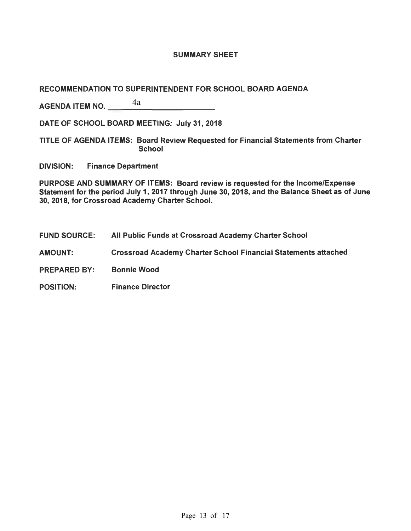## SUMMARY SHEET

## RECOMMENDATION TO SUPERINTENDENT FOR SCHOOL BOARD AGENDA

AGENDA ITEM NO. $\frac{4a}{\sqrt{a^2+1}}$ 4a

DATE OF SCHOOL BOARD MEETING: July 31, 2018

TITLE OF AGENDA ITEMS: Board Review Requested for Financial Statements from Charter **School** 

DIVISION: Finance Department

PURPOSE AND SUMMARY OF ITEMS: Board review is requested for the Income/Expense Statement for the period July 1, 2017 through June 30, 2018, and the Balance Sheet as of June 30, 2018, for Crossroad Academy Charter School.

- FUND SOURCE: All Public Funds at Crossroad Academy Charter School
- AMOUNT: Crossroad Academy Charter School Financial Statements attached
- PREPARED BY: Bonnie Wood
- POSITION: Finance Director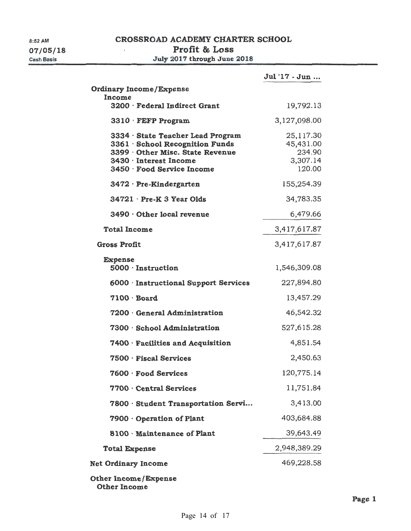$\bar{z}$ 

# Profit & Loss

July 2017 through June 2018

|                                                                                                                                                                | Jul '17 - Jun                                          |
|----------------------------------------------------------------------------------------------------------------------------------------------------------------|--------------------------------------------------------|
| <b>Ordinary Income/Expense</b><br>Income                                                                                                                       |                                                        |
| 3200 · Federal Indirect Grant                                                                                                                                  | 19,792.13                                              |
| $3310 \cdot$ FEFP Program                                                                                                                                      | 3,127,098.00                                           |
| 3334 · State Teacher Lead Program<br>3361 · School Recognition Funds<br>3399 Other Misc. State Revenue<br>3430 · Interest Income<br>3450 · Food Service Income | 25,117.30<br>45,431.00<br>234.90<br>3,307.14<br>120.00 |
| $3472 \cdot$ Pre-Kindergarten                                                                                                                                  | 155,254.39                                             |
| $34721 \cdot Pre-K 3$ Year Olds                                                                                                                                | 34,783.35                                              |
| 3490 Other local revenue                                                                                                                                       | 6,479.66                                               |
| <b>Total Income</b>                                                                                                                                            | 3,417,617.87                                           |
| <b>Gross Profit</b>                                                                                                                                            | 3,417,617.87                                           |
| <b>Expense</b><br>5000 · Instruction                                                                                                                           | 1,546,309.08                                           |
| 6000 · Instructional Support Services                                                                                                                          | 227,894.80                                             |
| $7100 \cdot$ Board                                                                                                                                             | 13,457.29                                              |
| 7200 General Administration                                                                                                                                    | 46,542.32                                              |
| 7300 · School Administration                                                                                                                                   | 527,615.28                                             |
| 7400 · Facilities and Acquisition                                                                                                                              | 4,851.54                                               |
| 7500 · Fiscal Services                                                                                                                                         | 2,450.63                                               |
| 7600 · Food Services                                                                                                                                           | 120,775.14                                             |
| 7700 Central Services                                                                                                                                          | 11,751.84                                              |
| 7800 Student Transportation Servi                                                                                                                              | 3,413.00                                               |
| 7900 Operation of Plant                                                                                                                                        | 403,684.88                                             |
| 8100 Maintenance of Plant                                                                                                                                      | 39,643.49                                              |
| <b>Total Expense</b>                                                                                                                                           | 2,948,389.29                                           |
| <b>Net Ordinary Income</b>                                                                                                                                     | 469,228.58                                             |
| <b>Other Income/Expense</b>                                                                                                                                    |                                                        |

Other Income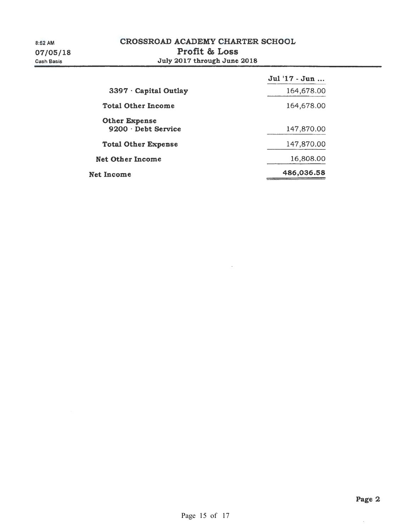|                                           | Jul '17 - Jun |
|-------------------------------------------|---------------|
| 3397 Capital Outlay                       | 164,678.00    |
| <b>Total Other Income</b>                 | 164,678.00    |
| <b>Other Expense</b><br>9200 Debt Service | 147,870.00    |
| <b>Total Other Expense</b>                | 147,870.00    |
| <b>Net Other Income</b>                   | 16,808.00     |
| <b>Net Income</b>                         | 486,036.58    |

 $\hat{\mathcal{A}}$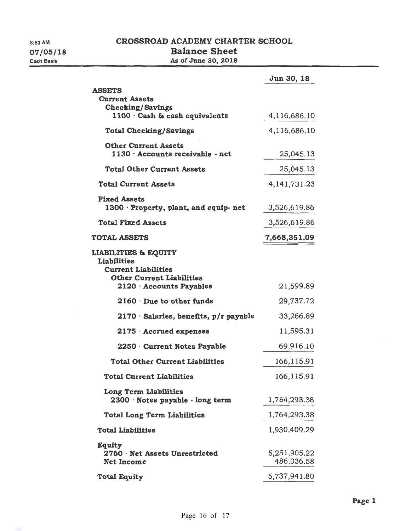$\sim$ 

# CROSSROAD ACADEMY CHARTER SCHOOL Balance Sheet As of June 30, 2018

|                                                                                                                                                   | Jun 30, 18                 |
|---------------------------------------------------------------------------------------------------------------------------------------------------|----------------------------|
| <b>ASSETS</b><br><b>Current Assets</b><br><b>Checking/Savings</b>                                                                                 |                            |
| $1100 \cdot$ Cash & cash equivalents                                                                                                              | 4,116,686.10               |
| <b>Total Checking/Savings</b>                                                                                                                     | 4,116,686.10               |
| <b>Other Current Assets</b><br>$1130 \cdot$ Accounts receivable - net                                                                             | 25,045.13                  |
| <b>Total Other Current Assets</b>                                                                                                                 | 25,045.13                  |
| <b>Total Current Assets</b>                                                                                                                       | 4, 141, 731. 23            |
| <b>Fixed Assets</b><br>$1300 \cdot$ Property, plant, and equip-net                                                                                | 3,526,619.86               |
| <b>Total Fixed Assets</b>                                                                                                                         | 3,526,619.86               |
| <b>TOTAL ASSETS</b>                                                                                                                               | 7,668,351.09               |
| <b>LIABILITIES &amp; EQUITY</b><br><b>Liabilities</b><br><b>Current Liabilities</b><br><b>Other Current Liabilities</b><br>2120 Accounts Payables | 21,599.89                  |
| $2160 \cdot$ Due to other funds                                                                                                                   | 29,737.72                  |
| $2170 \cdot$ Salaries, benefits, $p/r$ payable                                                                                                    | 33,266.89                  |
| $2175 \cdot$ Accrued expenses                                                                                                                     | 11,595.31                  |
| 2250 Current Notes Payable                                                                                                                        | 69,916.10                  |
| <b>Total Other Current Liabilities</b>                                                                                                            | 166,115.91                 |
| <b>Total Current Liabilities</b>                                                                                                                  | 166,115.91                 |
| Long Term Liabilities<br>2300 · Notes payable - long term                                                                                         | 1,764,293.38               |
| <b>Total Long Term Liabilities</b>                                                                                                                | 1,764,293.38               |
| <b>Total Liabilities</b>                                                                                                                          | 1,930,409.29               |
| <b>Equity</b><br>2760 · Net Assets Unrestricted<br><b>Net Income</b>                                                                              | 5,251,905.22<br>486,036.58 |
| <b>Total Equity</b>                                                                                                                               | 5,737,941.80               |